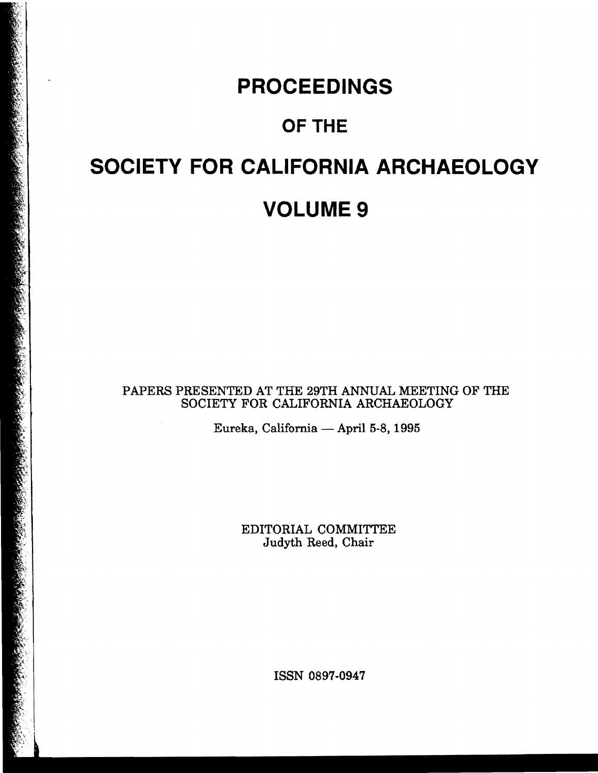# **PROCEEDINGS**

# OF THE

# **SOCIETY FOR CALIFORNIA ARCHAEOLOGY VOLUME 9**

PAPERS PRESENTED AT THE 29TH ANNUAL MEETING OF THE SOCIETY FOR CALIFORNIA ARCHAEOLOGY

Eureka, California - April 5-8, 1995

EDITORIAL COMMITTEE Judyth Reed, Chair

ISSN 0897-0947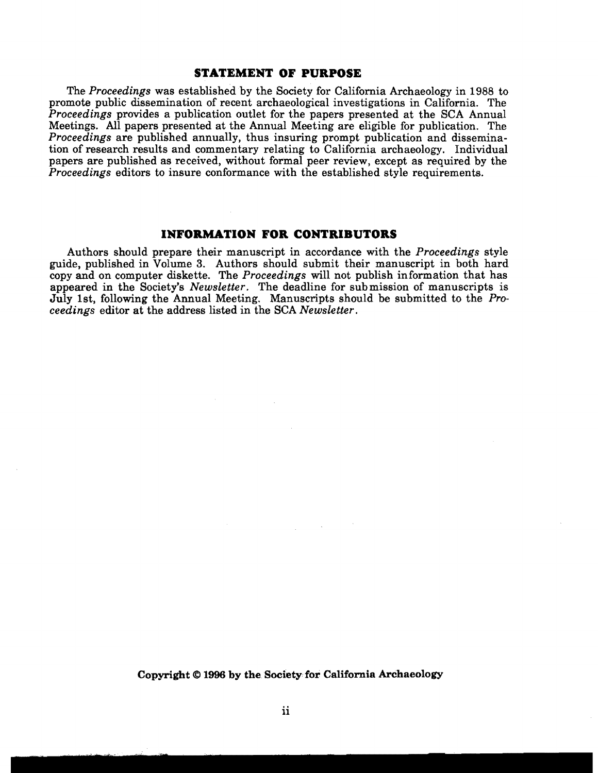#### **STATEMENT OF PURPOSE**

The *Proceedings* was established by the Society for California Archaeology in 1988 to promote public dissemination of recent archaeological investigations in California. The *Proceedings* provides a publication outlet for the papers presented at the SCA Annual Meetings. All papers presented at the Annual Meeting are eligible for publication. The *Proceedings* are published annually, thus insuring prompt publication and dissemination of research results and commentary relating to California archaeology. Individual papers are published as received, without formal peer review, except as required by the *Proceedings* editors to insure conformance with the established style requirements.

#### **INFORMATION FOR CONTRIBUTORS**

Authors should prepare their manuscript in accordance with the *Proceedings* style guide, published in Volume 3. Authors should submit their manuscript in both hard copy and on computer diskette. The *Proceedings* will not publish information that has appeared in the Society's *Newsletter.* The deadline for submission of manuscripts is July 1st, following the Annual Meeting. Manuscripts should be submitted to the *Proceedings* editor at the address listed in the SCA *Newsletter.* 

**Copyright @ 1996 by the Society for California Archaeology**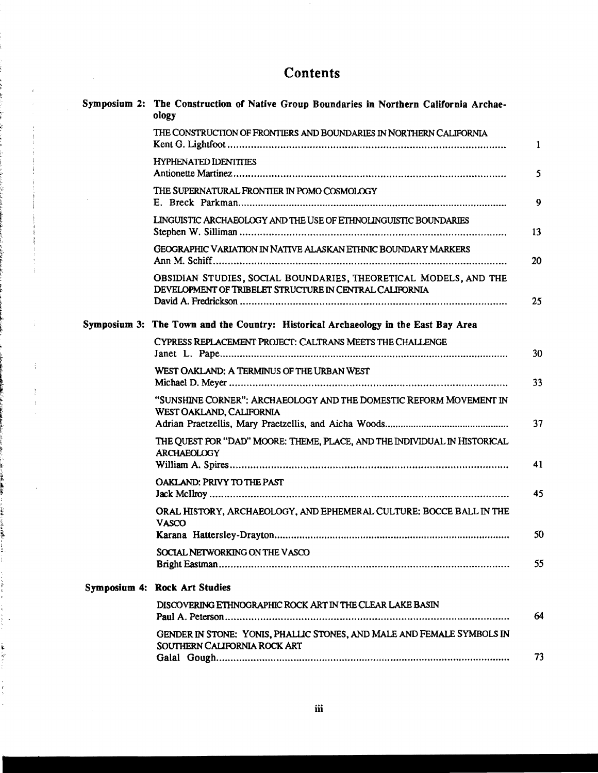## **Contents**

 $\mathcal{L}^{\text{max}}_{\text{max}}$  ,  $\mathcal{L}^{\text{max}}_{\text{max}}$ 

 $\sim$ 

| Symposium 2: The Construction of Native Group Boundaries in Northern California Archae-<br>ology                            |    |
|-----------------------------------------------------------------------------------------------------------------------------|----|
| THE CONSTRUCTION OF FRONTIERS AND BOUNDARIES IN NORTHERN CALIFORNIA                                                         | 1  |
| <b>HYPHENATED IDENTITIES</b>                                                                                                | 5  |
| THE SUPERNATURAL FRONTIER IN POMO COSMOLOGY                                                                                 | 9  |
| LINGUISTIC ARCHAEOLOGY AND THE USE OF ETHNOLINGUISTIC BOUNDARIES                                                            | 13 |
| <b>GEOGRAPHIC VARIATION IN NATIVE ALASKAN ETHNIC BOUNDARY MARKERS</b>                                                       | 20 |
| OBSIDIAN STUDIES, SOCIAL BOUNDARIES, THEORETICAL MODELS, AND THE<br>DEVELOPMENT OF TRIBELET STRUCTURE IN CENTRAL CALIFORNIA | 25 |
| Symposium 3: The Town and the Country: Historical Archaeology in the East Bay Area                                          |    |
| CYPRESS REPLACEMENT PROJECT: CALTRANS MEETS THE CHALLENGE                                                                   | 30 |
| WEST OAKLAND: A TERMINUS OF THE URBAN WEST                                                                                  | 33 |
| "SUNSHINE CORNER": ARCHAEOLOGY AND THE DOMESTIC REFORM MOVEMENT IN<br>WEST OAKLAND, CALIFORNIA                              | 37 |
| THE QUEST FOR "DAD" MOORE: THEME, PLACE, AND THE INDIVIDUAL IN HISTORICAL<br><b>ARCHAEOLOGY</b>                             | 41 |
| OAKLAND: PRIVY TO THE PAST                                                                                                  | 45 |
| ORAL HISTORY, ARCHAEOLOGY, AND EPHEMERAL CULTURE: BOCCE BALL IN THE<br><b>VASCO</b>                                         |    |
|                                                                                                                             | 50 |
| SOCIAL NETWORKING ON THE VASCO                                                                                              | 55 |
| Symposium 4: Rock Art Studies                                                                                               |    |
| DISCOVERING ETHNOGRAPHIC ROCK ART IN THE CLEAR LAKE BASIN                                                                   | 64 |
| GENDER IN STONE: YONIS, PHALLIC STONES, AND MALE AND FEMALE SYMBOLS IN<br>SOUTHERN CALIFORNIA ROCK ART                      |    |
|                                                                                                                             | 73 |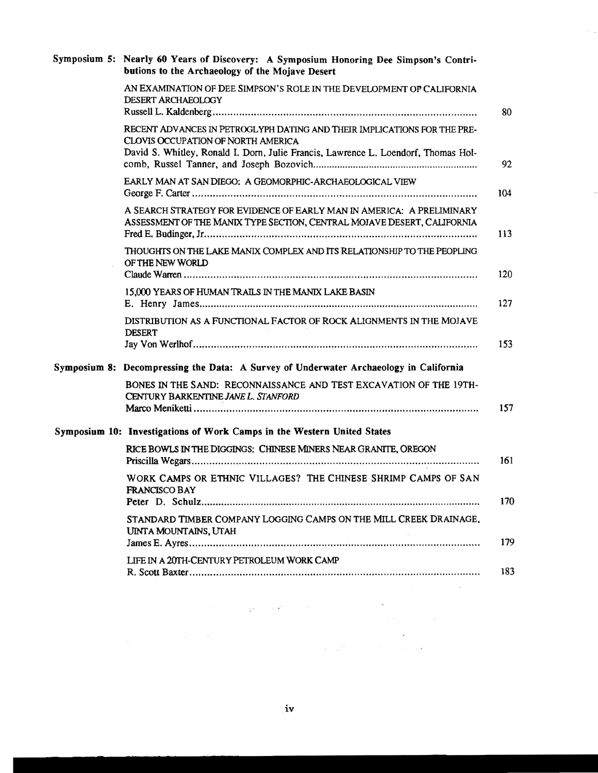| Symposium 5: Nearly 60 Years of Discovery: A Symposium Honoring Dee Simpson's Contri-<br>butions to the Archaeology of the Mojave Desert                                                                                                                                                                                         |  |
|----------------------------------------------------------------------------------------------------------------------------------------------------------------------------------------------------------------------------------------------------------------------------------------------------------------------------------|--|
| AN EXAMINATION OF DEE SIMPSON'S ROLE IN THE DEVELOPMENT OF CALIFORNIA<br><b>DESERT ARCHAEOLOGY</b><br>80                                                                                                                                                                                                                         |  |
| RECENT ADVANCES IN PETROGLYPH DATING AND THEIR IMPLICATIONS FOR THE PRE-<br>CLOVIS OCCUPATION OF NORTH AMERICA<br>David S. Whitley, Ronald I. Dorn, Julie Francis, Lawrence L. Loendorf, Thomas Hol-<br>92                                                                                                                       |  |
| EARLY MAN AT SAN DIEGO; A GEOMORPHIC-ARCHAEOLOGICAL VIEW<br>104                                                                                                                                                                                                                                                                  |  |
| A SEARCH STRATEGY FOR EVIDENCE OF EARLY MAN IN AMERICA: A PRELIMINARY<br>ASSESSMENT OF THE MANIX TYPE SECTION, CENTRAL MOJAVE DESERT, CALIFORNIA<br>113                                                                                                                                                                          |  |
| THOUGHTS ON THE LAKE MANIX COMPLEX AND ITS RELATIONSHIP TO THE PEOPLING<br>OF THE NEW WORLD<br>120                                                                                                                                                                                                                               |  |
| 15,000 YEARS OF HUMAN TRAILS IN THE MANIX LAKE BASIN<br>127                                                                                                                                                                                                                                                                      |  |
| DISTRIBUTION AS A FUNCTIONAL FACTOR OF ROCK ALIGNMENTS IN THE MOJAVE<br><b>DESERT</b><br>153                                                                                                                                                                                                                                     |  |
| Symposium 8: Decompressing the Data: A Survey of Underwater Archaeology in California                                                                                                                                                                                                                                            |  |
| BONES IN THE SAND: RECONNAISSANCE AND TEST EXCAVATION OF THE 19TH-<br>CENTURY BARKENTINE JANE L. STANFORD<br>157                                                                                                                                                                                                                 |  |
| Symposium 10: Investigations of Work Camps in the Western United States                                                                                                                                                                                                                                                          |  |
| RICE BOWLS IN THE DIGGINGS: CHINESE MINERS NEAR GRANITE, OREGON<br>161                                                                                                                                                                                                                                                           |  |
| WORK CAMPS OR ETHNIC VILLAGES? THE CHINESE SHRIMP CAMPS OF SAN<br>FRANCISCO BAY<br>170                                                                                                                                                                                                                                           |  |
| STANDARD TIMBER COMPANY LOGGING CAMPS ON THE MILL CREEK DRAINAGE,<br>UINTA MOUNTAINS, UTAH<br>179                                                                                                                                                                                                                                |  |
| LIFE IN A 20TH-CENTURY PETROLEUM WORK CAMP<br>183                                                                                                                                                                                                                                                                                |  |
| والمستحدث والمستقر والمتهور والمستحدث                                                                                                                                                                                                                                                                                            |  |
| and the second state of the<br>$\label{eq:2.1} \mathcal{L}_{\mathcal{A}}(\mathcal{L}_{\mathcal{A}}) = \mathcal{L}_{\mathcal{A}}(\mathcal{L}_{\mathcal{A}}) = \mathcal{L}_{\mathcal{A}}(\mathcal{L}_{\mathcal{A}}) = \mathcal{L}_{\mathcal{A}}(\mathcal{L}_{\mathcal{A}}) = \mathcal{L}_{\mathcal{A}}(\mathcal{L}_{\mathcal{A}})$ |  |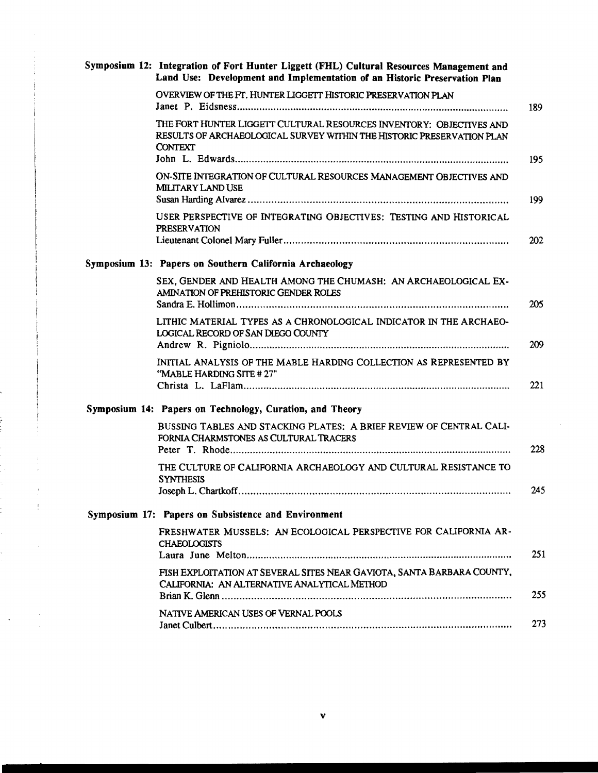| Symposium 12: Integration of Fort Hunter Liggett (FHL) Cultural Resources Management and<br>Land Use: Development and Implementation of an Historic Preservation Plan |            |
|-----------------------------------------------------------------------------------------------------------------------------------------------------------------------|------------|
| OVERVIEW OF THE FT. HUNTER LIGGETT HISTORIC PRESERVATION PLAN                                                                                                         | 189        |
| THE FORT HUNTER LIGGETT CULTURAL RESOURCES INVENTORY: OBJECTIVES AND<br>RESULTS OF ARCHAEOLOGICAL SURVEY WITHIN THE HISTORIC PRESERVATION PLAN<br><b>CONTEXT</b>      | 195        |
| ON-SITE INTEGRATION OF CULTURAL RESOURCES MANAGEMENT OBJECTIVES AND<br><b>MILITARY LAND USE</b>                                                                       | 199        |
| USER PERSPECTIVE OF INTEGRATING OBJECTIVES: TESTING AND HISTORICAL<br><b>PRESERVATION</b>                                                                             | <b>202</b> |
| Symposium 13: Papers on Southern California Archaeology                                                                                                               |            |
| SEX, GENDER AND HEALTH AMONG THE CHUMASH: AN ARCHAEOLOGICAL EX-<br>AMINATION OF PREHISTORIC GENDER ROLES                                                              | 205        |
| LITHIC MATERIAL TYPES AS A CHRONOLOGICAL INDICATOR IN THE ARCHAEO-<br>LOGICAL RECORD OF SAN DIEGO COUNTY                                                              | 209        |
| INITIAL ANALYSIS OF THE MABLE HARDING COLLECTION AS REPRESENTED BY<br>"MABLE HARDING SITE #27"                                                                        | 221        |
| Symposium 14: Papers on Technology, Curation, and Theory                                                                                                              |            |
| BUSSING TABLES AND STACKING PLATES: A BRIEF REVIEW OF CENTRAL CALI-<br>FORNIA CHARMSTONES AS CULTURAL TRACERS                                                         | 228        |
| THE CULTURE OF CALIFORNIA ARCHAEOLOGY AND CULTURAL RESISTANCE TO<br><b>SYNTHESIS</b>                                                                                  |            |
|                                                                                                                                                                       | 245        |
| Symposium 17: Papers on Subsistence and Environment                                                                                                                   |            |
| FRESHWATER MUSSELS: AN ECOLOGICAL PERSPECTIVE FOR CALIFORNIA AR-<br><b>CHAEOLOGISTS</b>                                                                               | 251        |
| FISH EXPLOITATION AT SEVERAL SITES NEAR GAVIOTA, SANTA BARBARA COUNTY,<br>CALIFORNIA: AN ALTERNATIVE ANALYTICAL METHOD                                                | 255        |
| NATIVE AMERICAN USES OF VERNAL POOLS                                                                                                                                  | 273        |

 $\sim$